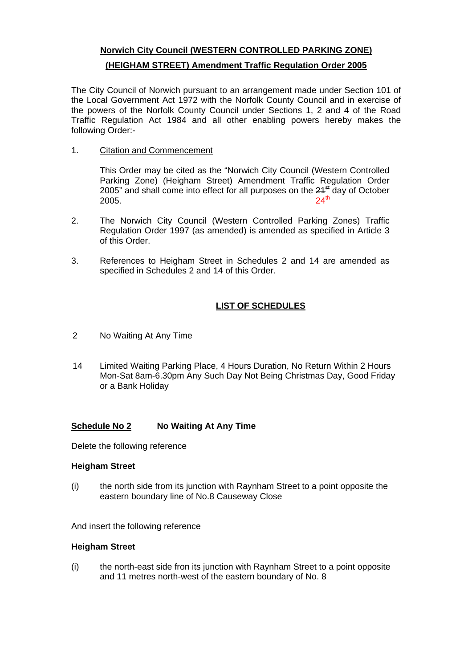# **Norwich City Council (WESTERN CONTROLLED PARKING ZONE)**

## **(HEIGHAM STREET) Amendment Traffic Regulation Order 2005**

The City Council of Norwich pursuant to an arrangement made under Section 101 of the Local Government Act 1972 with the Norfolk County Council and in exercise of the powers of the Norfolk County Council under Sections 1, 2 and 4 of the Road Traffic Regulation Act 1984 and all other enabling powers hereby makes the following Order:-

### 1. Citation and Commencement

This Order may be cited as the "Norwich City Council (Western Controlled Parking Zone) (Heigham Street) Amendment Traffic Regulation Order 2005" and shall come into effect for all purposes on the  $24<sup>st</sup>$  day of October 2005. 2005. 24<sup>th</sup>

- 2. The Norwich City Council (Western Controlled Parking Zones) Traffic Regulation Order 1997 (as amended) is amended as specified in Article 3 of this Order.
- 3. References to Heigham Street in Schedules 2 and 14 are amended as specified in Schedules 2 and 14 of this Order.

# **LIST OF SCHEDULES**

- 2 No Waiting At Any Time
- 14 Limited Waiting Parking Place, 4 Hours Duration, No Return Within 2 Hours Mon-Sat 8am-6.30pm Any Such Day Not Being Christmas Day, Good Friday or a Bank Holiday

## **Schedule No 2 No Waiting At Any Time**

Delete the following reference

### **Heigham Street**

(i) the north side from its junction with Raynham Street to a point opposite the eastern boundary line of No.8 Causeway Close

And insert the following reference

### **Heigham Street**

(i) the north-east side fron its junction with Raynham Street to a point opposite and 11 metres north-west of the eastern boundary of No. 8